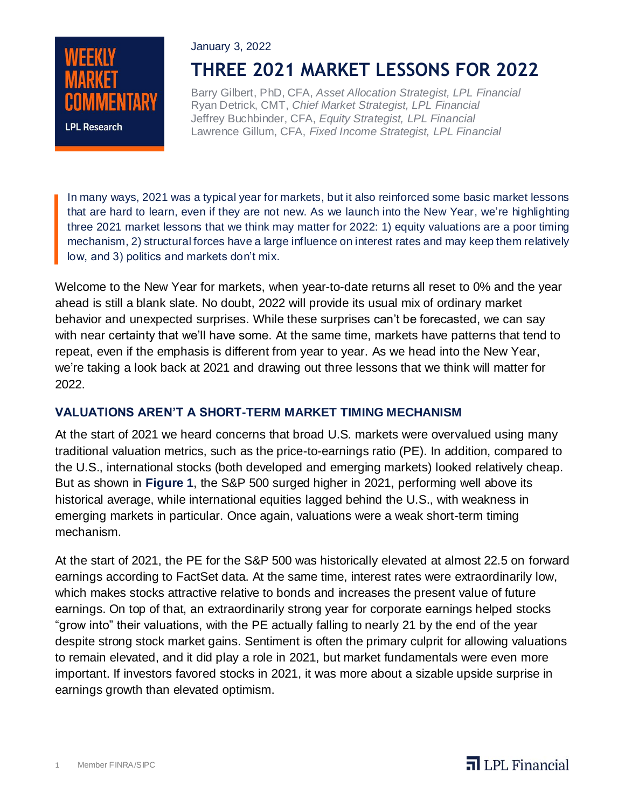

# January 3, 2022 **THREE 2021 MARKET LESSONS FOR 2022**

Barry Gilbert, PhD, CFA, *Asset Allocation Strategist, LPL Financial* Ryan Detrick, CMT, *Chief Market Strategist, LPL Financial* Jeffrey Buchbinder, CFA, *Equity Strategist, LPL Financial* Lawrence Gillum, CFA, *Fixed Income Strategist, LPL Financial*

In many ways, 2021 was a typical year for markets, but it also reinforced some basic market lessons that are hard to learn, even if they are not new. As we launch into the New Year, we're highlighting three 2021 market lessons that we think may matter for 2022: 1) equity valuations are a poor timing mechanism, 2) structural forces have a large influence on interest rates and may keep them relatively low, and 3) politics and markets don't mix.

Welcome to the New Year for markets, when year-to-date returns all reset to 0% and the year ahead is still a blank slate. No doubt, 2022 will provide its usual mix of ordinary market behavior and unexpected surprises. While these surprises can't be forecasted, we can say with near certainty that we'll have some. At the same time, markets have patterns that tend to repeat, even if the emphasis is different from year to year. As we head into the New Year, we're taking a look back at 2021 and drawing out three lessons that we think will matter for 2022.

### **VALUATIONS AREN'T A SHORT-TERM MARKET TIMING MECHANISM**

At the start of 2021 we heard concerns that broad U.S. markets were overvalued using many traditional valuation metrics, such as the price-to-earnings ratio (PE). In addition, compared to the U.S., international stocks (both developed and emerging markets) looked relatively cheap. But as shown in **Figure 1**, the S&P 500 surged higher in 2021, performing well above its historical average, while international equities lagged behind the U.S., with weakness in emerging markets in particular. Once again, valuations were a weak short-term timing mechanism.

At the start of 2021, the PE for the S&P 500 was historically elevated at almost 22.5 on forward earnings according to FactSet data. At the same time, interest rates were extraordinarily low, which makes stocks attractive relative to bonds and increases the present value of future earnings. On top of that, an extraordinarily strong year for corporate earnings helped stocks "grow into" their valuations, with the PE actually falling to nearly 21 by the end of the year despite strong stock market gains. Sentiment is often the primary culprit for allowing valuations to remain elevated, and it did play a role in 2021, but market fundamentals were even more important. If investors favored stocks in 2021, it was more about a sizable upside surprise in earnings growth than elevated optimism.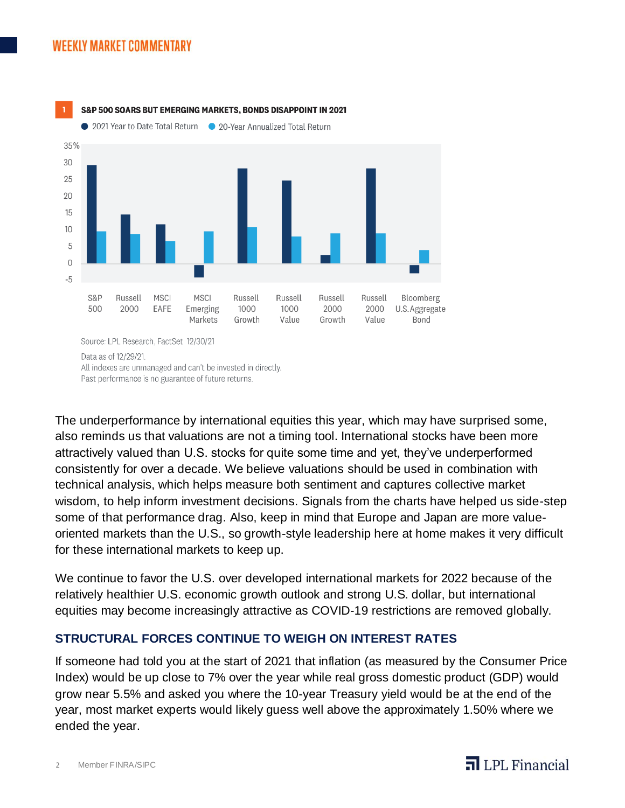## **WEEKLY MARKET COMMENTARY**



Past performance is no guarantee of future returns.

The underperformance by international equities this year, which may have surprised some, also reminds us that valuations are not a timing tool. International stocks have been more attractively valued than U.S. stocks for quite some time and yet, they've underperformed consistently for over a decade. We believe valuations should be used in combination with technical analysis, which helps measure both sentiment and captures collective market wisdom, to help inform investment decisions. Signals from the charts have helped us side-step some of that performance drag. Also, keep in mind that Europe and Japan are more valueoriented markets than the U.S., so growth-style leadership here at home makes it very difficult for these international markets to keep up.

We continue to favor the U.S. over developed international markets for 2022 because of the relatively healthier U.S. economic growth outlook and strong U.S. dollar, but international equities may become increasingly attractive as COVID-19 restrictions are removed globally.

### **STRUCTURAL FORCES CONTINUE TO WEIGH ON INTEREST RATES**

If someone had told you at the start of 2021 that inflation (as measured by the Consumer Price Index) would be up close to 7% over the year while real gross domestic product (GDP) would grow near 5.5% and asked you where the 10-year Treasury yield would be at the end of the year, most market experts would likely guess well above the approximately 1.50% where we ended the year.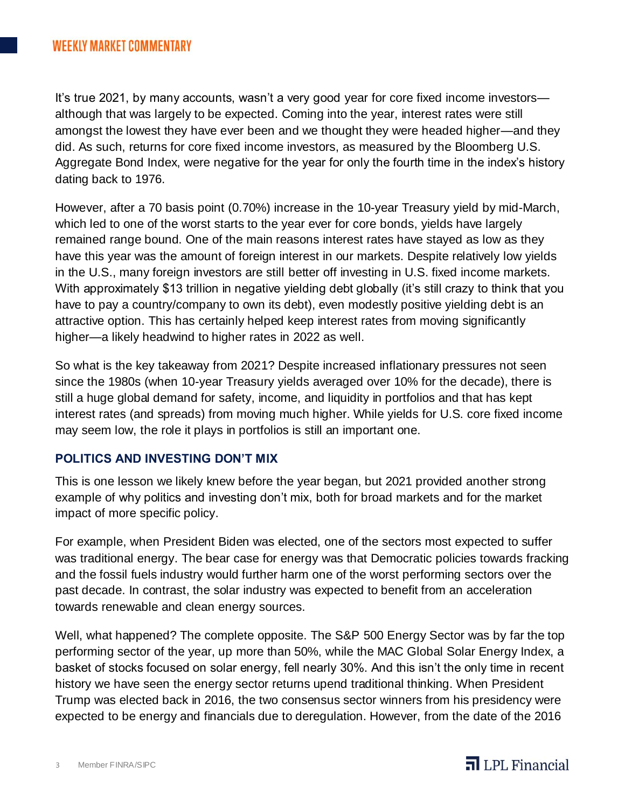It's true 2021, by many accounts, wasn't a very good year for core fixed income investors although that was largely to be expected. Coming into the year, interest rates were still amongst the lowest they have ever been and we thought they were headed higher—and they did. As such, returns for core fixed income investors, as measured by the Bloomberg U.S. Aggregate Bond Index, were negative for the year for only the fourth time in the index's history dating back to 1976.

However, after a 70 basis point (0.70%) increase in the 10-year Treasury yield by mid-March, which led to one of the worst starts to the year ever for core bonds, yields have largely remained range bound. One of the main reasons interest rates have stayed as low as they have this year was the amount of foreign interest in our markets. Despite relatively low yields in the U.S., many foreign investors are still better off investing in U.S. fixed income markets. With approximately \$13 trillion in negative yielding debt globally (it's still crazy to think that you have to pay a country/company to own its debt), even modestly positive yielding debt is an attractive option. This has certainly helped keep interest rates from moving significantly higher—a likely headwind to higher rates in 2022 as well.

So what is the key takeaway from 2021? Despite increased inflationary pressures not seen since the 1980s (when 10-year Treasury yields averaged over 10% for the decade), there is still a huge global demand for safety, income, and liquidity in portfolios and that has kept interest rates (and spreads) from moving much higher. While yields for U.S. core fixed income may seem low, the role it plays in portfolios is still an important one.

### **POLITICS AND INVESTING DON'T MIX**

This is one lesson we likely knew before the year began, but 2021 provided another strong example of why politics and investing don't mix, both for broad markets and for the market impact of more specific policy.

For example, when President Biden was elected, one of the sectors most expected to suffer was traditional energy. The bear case for energy was that Democratic policies towards fracking and the fossil fuels industry would further harm one of the worst performing sectors over the past decade. In contrast, the solar industry was expected to benefit from an acceleration towards renewable and clean energy sources.

Well, what happened? The complete opposite. The S&P 500 Energy Sector was by far the top performing sector of the year, up more than 50%, while the MAC Global Solar Energy Index, a basket of stocks focused on solar energy, fell nearly 30%. And this isn't the only time in recent history we have seen the energy sector returns upend traditional thinking. When President Trump was elected back in 2016, the two consensus sector winners from his presidency were expected to be energy and financials due to deregulation. However, from the date of the 2016

# $\overline{\mathbf{d}}$  LPL Financial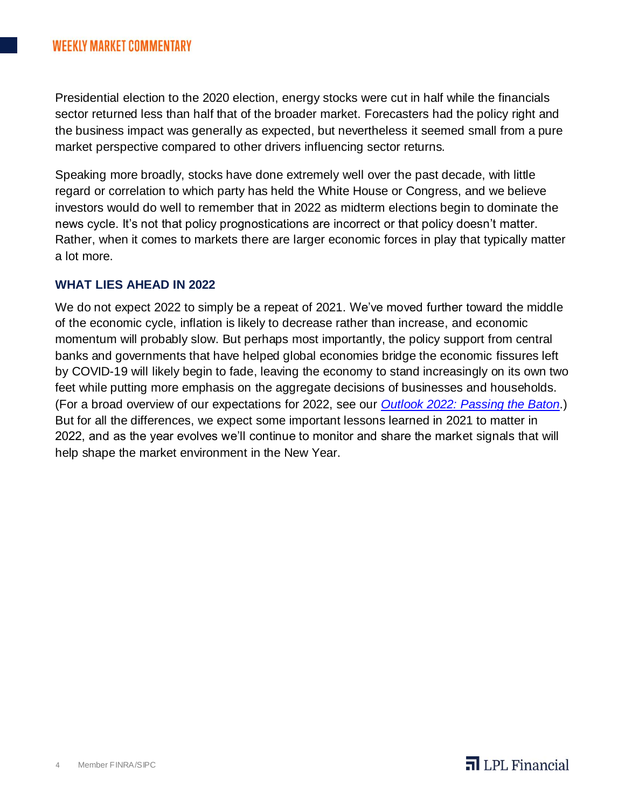Presidential election to the 2020 election, energy stocks were cut in half while the financials sector returned less than half that of the broader market. Forecasters had the policy right and the business impact was generally as expected, but nevertheless it seemed small from a pure market perspective compared to other drivers influencing sector returns.

Speaking more broadly, stocks have done extremely well over the past decade, with little regard or correlation to which party has held the White House or Congress, and we believe investors would do well to remember that in 2022 as midterm elections begin to dominate the news cycle. It's not that policy prognostications are incorrect or that policy doesn't matter. Rather, when it comes to markets there are larger economic forces in play that typically matter a lot more.

#### **WHAT LIES AHEAD IN 2022**

We do not expect 2022 to simply be a repeat of 2021. We've moved further toward the middle of the economic cycle, inflation is likely to decrease rather than increase, and economic momentum will probably slow. But perhaps most importantly, the policy support from central banks and governments that have helped global economies bridge the economic fissures left by COVID-19 will likely begin to fade, leaving the economy to stand increasingly on its own two feet while putting more emphasis on the aggregate decisions of businesses and households. (For a broad overview of our expectations for 2022, see our *[Outlook 2022: Passing the Baton](https://www.lpl.com/news-media/research-insights/lpl-financial-research-outlook-2022.html)*.) But for all the differences, we expect some important lessons learned in 2021 to matter in 2022, and as the year evolves we'll continue to monitor and share the market signals that will help shape the market environment in the New Year.